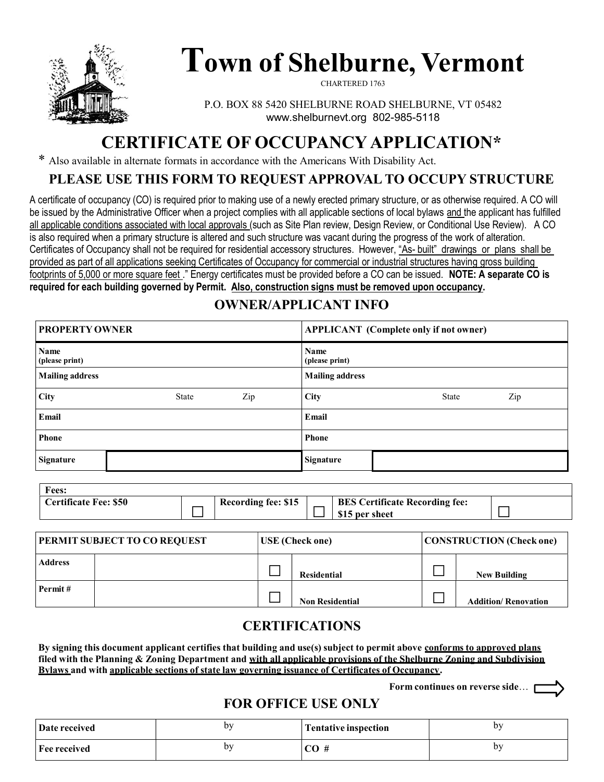

# Town of Shelburne, Vermont

CHARTERED 1763

P.O. BOX 88 5420 SHELBURNE ROAD SHELBURNE, VT 05482 www.shelburnevt.org 802-985-5118

# CERTIFICATE OF OCCUPANCY APPLICATION\*

\* Also available in alternate formats in accordance with the Americans With Disability Act.

#### PLEASE USE THIS FORM TO REQUEST APPROVAL TO OCCUPY STRUCTURE

A certificate of occupancy (CO) is required prior to making use of a newly erected primary structure, or as otherwise required. A CO will be issued by the Administrative Officer when a project complies with all applicable sections of local bylaws and the applicant has fulfilled all applicable conditions associated with local approvals (such as Site Plan review, Design Review, or Conditional Use Review). A CO is also required when a primary structure is altered and such structure was vacant during the progress of the work of alteration. Certificates of Occupancy shall not be required for residential accessory structures. However, "As- built" drawings or plans shall be provided as part of all applications seeking Certificates of Occupancy for commercial or industrial structures having gross building footprints of 5,000 or more square feet ." Energy certificates must be provided before a CO can be issued. NOTE: A separate CO is required for each building governed by Permit. Also, construction signs must be removed upon occupancy.

## OWNER/APPLICANT INFO

| <b>PROPERTY OWNER</b>  |              |     |                        | <b>APPLICANT</b> (Complete only if not owner) |  |  |  |
|------------------------|--------------|-----|------------------------|-----------------------------------------------|--|--|--|
| Name<br>(please print) |              |     | Name<br>(please print) |                                               |  |  |  |
| <b>Mailing address</b> |              |     | <b>Mailing address</b> |                                               |  |  |  |
| City                   | <b>State</b> | Zip | <b>City</b>            | Zip<br><b>State</b>                           |  |  |  |
| Email                  |              |     | Email                  |                                               |  |  |  |
| Phone                  |              |     | Phone                  |                                               |  |  |  |
| <b>Signature</b>       |              |     | <b>Signature</b>       |                                               |  |  |  |

| Fees:                        |                            |                                                         |  |
|------------------------------|----------------------------|---------------------------------------------------------|--|
| <b>Certificate Fee: \$50</b> | <b>Recording fee: \$15</b> | <b>BES Certificate Recording fee:</b><br>\$15 per sheet |  |

| <b>PERMIT SUBJECT TO CO REQUEST</b> |  | <b>USE</b> (Check one) |                        | <b>CONSTRUCTION</b> (Check one) |                             |
|-------------------------------------|--|------------------------|------------------------|---------------------------------|-----------------------------|
| <b>Address</b>                      |  |                        | Residential            |                                 | <b>New Building</b>         |
| Permit#                             |  |                        | <b>Non Residential</b> |                                 | <b>Addition/ Renovation</b> |

### CERTIFICATIONS

By signing this document applicant certifies that building and use(s) subject to permit above conforms to approved plans filed with the Planning & Zoning Department and with all applicable provisions of the Shelburne Zoning and Subdivision Bylaws and with applicable sections of state law governing issuance of Certificates of Occupancy.

Form continues on reverse side…

### FOR OFFICE USE ONLY

| <b>Date received</b> | h٦  | Tentative inspection | ٦T |
|----------------------|-----|----------------------|----|
| Fee received         | hv. |                      | b٧ |